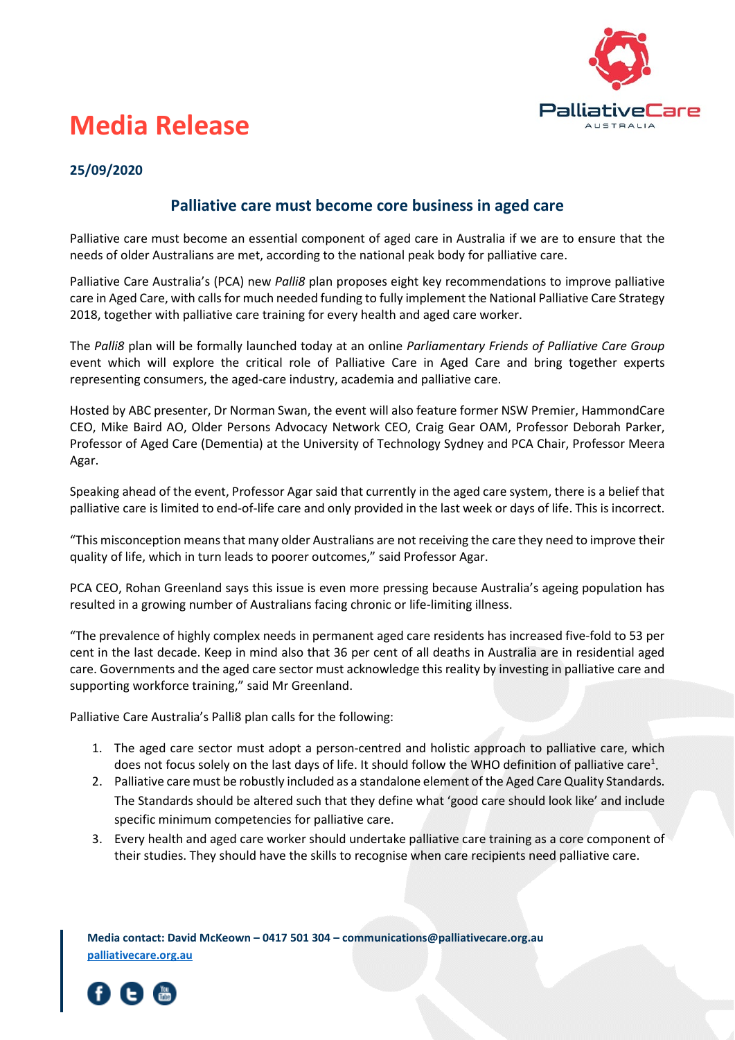

## **Media Release**

## **25/09/2020**

## **Palliative care must become core business in aged care**

Palliative care must become an essential component of aged care in Australia if we are to ensure that the needs of older Australians are met, according to the national peak body for palliative care.

Palliative Care Australia's (PCA) new *Palli8* plan proposes eight key recommendations to improve palliative care in Aged Care, with calls for much needed funding to fully implement the National Palliative Care Strategy 2018, together with palliative care training for every health and aged care worker.

The *Palli8* plan will be formally launched today at an online *Parliamentary Friends of Palliative Care Group* event which will explore the critical role of Palliative Care in Aged Care and bring together experts representing consumers, the aged-care industry, academia and palliative care.

Hosted by ABC presenter, Dr Norman Swan, the event will also feature former NSW Premier, HammondCare CEO, Mike Baird AO, Older Persons Advocacy Network CEO, Craig Gear OAM, Professor Deborah Parker, Professor of Aged Care (Dementia) at the University of Technology Sydney and PCA Chair, Professor Meera Agar.

Speaking ahead of the event, Professor Agar said that currently in the aged care system, there is a belief that palliative care is limited to end-of-life care and only provided in the last week or days of life. This is incorrect.

"This misconception means that many older Australians are not receiving the care they need to improve their quality of life, which in turn leads to poorer outcomes," said Professor Agar.

PCA CEO, Rohan Greenland says this issue is even more pressing because Australia's ageing population has resulted in a growing number of Australians facing chronic or life-limiting illness.

"The prevalence of highly complex needs in permanent aged care residents has increased five-fold to 53 per cent in the last decade. Keep in mind also that 36 per cent of all deaths in Australia are in residential aged care. Governments and the aged care sector must acknowledge this reality by investing in palliative care and supporting workforce training," said Mr Greenland.

Palliative Care Australia's Palli8 plan calls for the following:

- 1. The aged care sector must adopt a person-centred and holistic approach to palliative care, which does not focus solely on the last days of life. It should follow the WHO definition of palliative care<sup>1</sup>.
- 2. Palliative care must be robustly included as a standalone element of the Aged Care Quality Standards. The Standards should be altered such that they define what 'good care should look like' and include specific minimum competencies for palliative care.
- 3. Every health and aged care worker should undertake palliative care training as a core component of their studies. They should have the skills to recognise when care recipients need palliative care.

**Media contact: David McKeown – 0417 501 304 – communications@palliativecare.org.au [palliativecare.org.au](http://www.palliativecare.org.au/)**